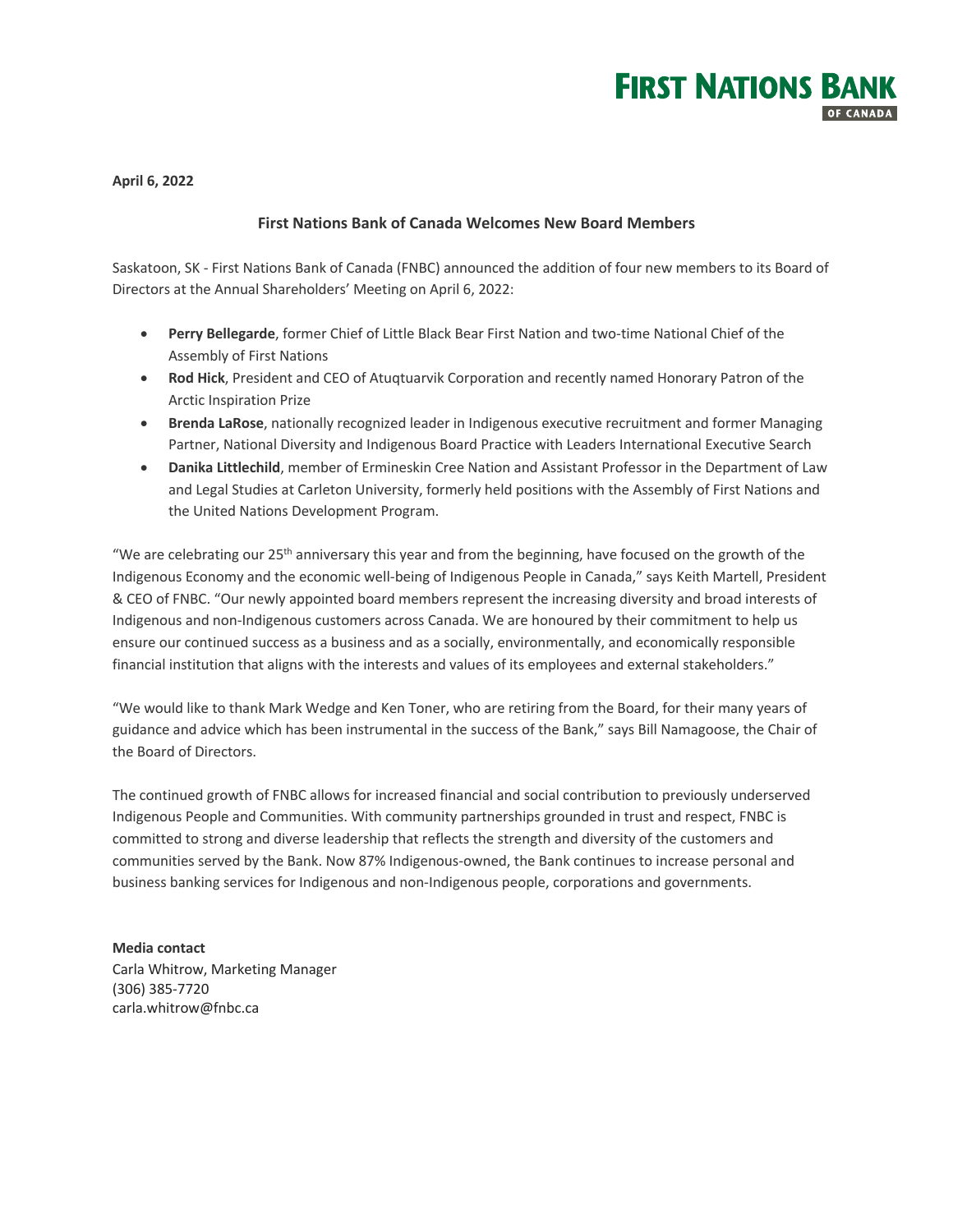

**April 6, 2022**

# **First Nations Bank of Canada Welcomes New Board Members**

Saskatoon, SK - First Nations Bank of Canada (FNBC) announced the addition of four new members to its Board of Directors at the Annual Shareholders' Meeting on April 6, 2022:

- **Perry Bellegarde**, former Chief of Little Black Bear First Nation and two-time National Chief of the Assembly of First Nations
- **Rod Hick**, President and CEO of Atuqtuarvik Corporation and recently named Honorary Patron of the Arctic Inspiration Prize
- **Brenda LaRose**, nationally recognized leader in Indigenous executive recruitment and former Managing Partner, National Diversity and Indigenous Board Practice with Leaders International Executive Search
- **Danika Littlechild**, member of Ermineskin Cree Nation and Assistant Professor in the Department of Law and Legal Studies at Carleton University, formerly held positions with the Assembly of First Nations and the United Nations Development Program.

"We are celebrating our  $25<sup>th</sup>$  anniversary this year and from the beginning, have focused on the growth of the Indigenous Economy and the economic well-being of Indigenous People in Canada," says Keith Martell, President & CEO of FNBC. "Our newly appointed board members represent the increasing diversity and broad interests of Indigenous and non-Indigenous customers across Canada. We are honoured by their commitment to help us ensure our continued success as a business and as a socially, environmentally, and economically responsible financial institution that aligns with the interests and values of its employees and external stakeholders."

"We would like to thank Mark Wedge and Ken Toner, who are retiring from the Board, for their many years of guidance and advice which has been instrumental in the success of the Bank," says Bill Namagoose, the Chair of the Board of Directors.

The continued growth of FNBC allows for increased financial and social contribution to previously underserved Indigenous People and Communities. With community partnerships grounded in trust and respect, FNBC is committed to strong and diverse leadership that reflects the strength and diversity of the customers and communities served by the Bank. Now 87% Indigenous-owned, the Bank continues to increase personal and business banking services for Indigenous and non-Indigenous people, corporations and governments.

## **Media contact**

Carla Whitrow, Marketing Manager (306) 385-7720 carla.whitrow@fnbc.ca